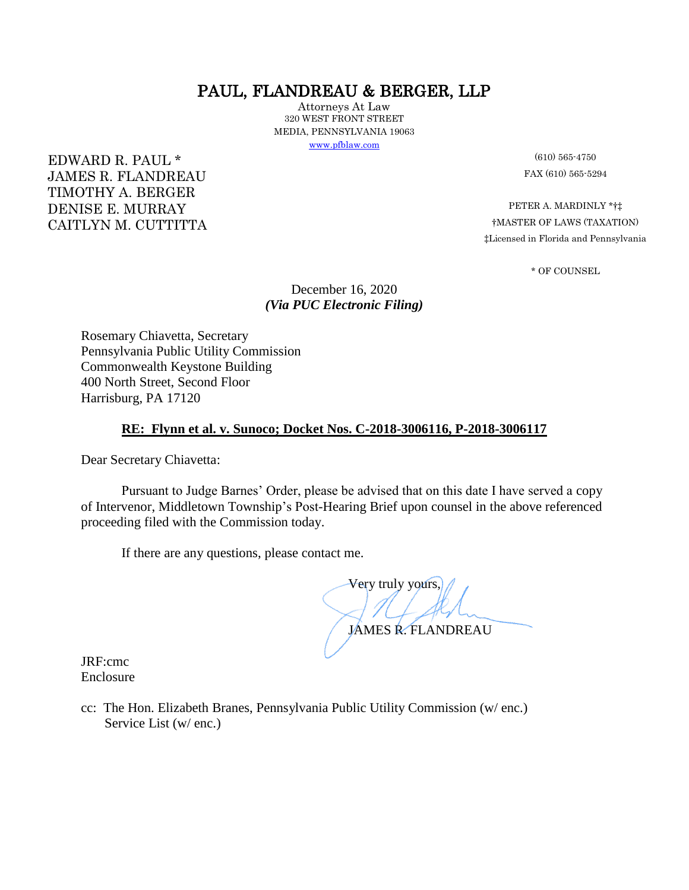# PAUL, FLANDREAU & BERGER, LLP

Attorneys At Law 320 WEST FRONT STREET MEDIA, PENNSYLVANIA 19063 [www.pfblaw.com](http://www.pfblaw.com/)

 $EDWARD R. PAUL * (610) 565-4750$ JAMES R. FLANDREAU FAX (610) 565-5294 TIMOTHY A. BERGER

CAITLYN M. CUTTITTA

DENISE E. MURRAY PETER A. MARDINLY \*†‡<br>
CAITLYN M. CLITTITTA FMASTER OF LAWS (TAXATION) ‡Licensed in Florida and Pennsylvania

\* OF COUNSEL

December 16, 2020 *(Via PUC Electronic Filing)* 

Rosemary Chiavetta, Secretary Pennsylvania Public Utility Commission Commonwealth Keystone Building 400 North Street, Second Floor Harrisburg, PA 17120

# **RE: Flynn et al. v. Sunoco; Docket Nos. C-2018-3006116, P-2018-3006117**

Dear Secretary Chiavetta:

Pursuant to Judge Barnes' Order, please be advised that on this date I have served a copy of Intervenor, Middletown Township's Post-Hearing Brief upon counsel in the above referenced proceeding filed with the Commission today.

If there are any questions, please contact me.

 Very truly yours, JAMES R. FLANDREAU

JRF:cmc Enclosure

cc: The Hon. Elizabeth Branes, Pennsylvania Public Utility Commission (w/ enc.) Service List (w/ enc.)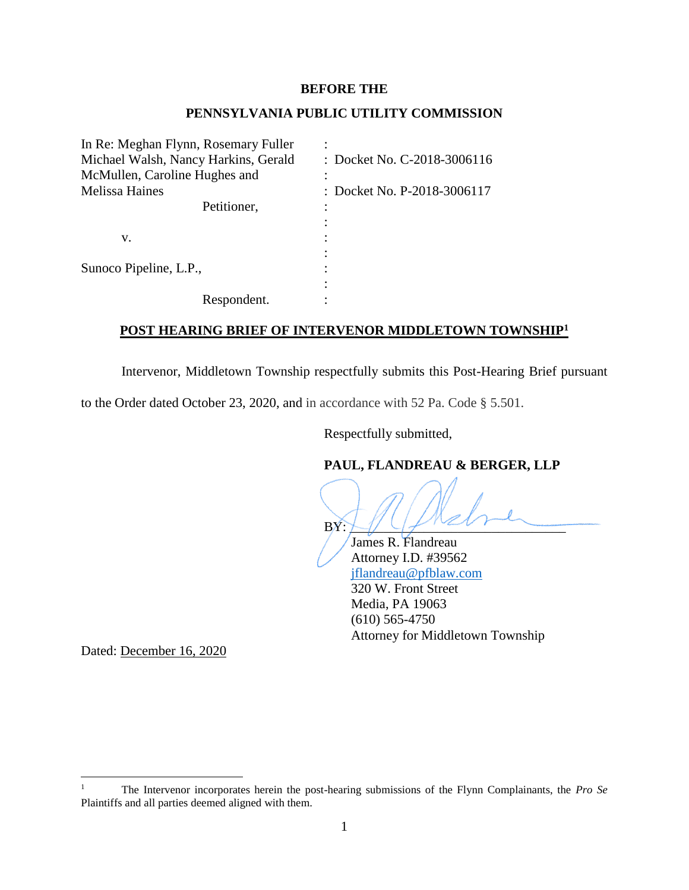### **BEFORE THE**

# **PENNSYLVANIA PUBLIC UTILITY COMMISSION**

In Re: Meghan Flynn, Rosemary Fuller : Michael Walsh, Nancy Harkins, Gerald : Docket No. C-2018-3006116 McMullen, Caroline Hughes and : Melissa Haines : Docket No. P-2018-3006117 Petitioner, :  $\mathbf{v}$ .  $\vdots$ : Sunoco Pipeline, L.P., : : Respondent.

# **POST HEARING BRIEF OF INTERVENOR MIDDLETOWN TOWNSHIP<sup>1</sup>**

Intervenor, Middletown Township respectfully submits this Post-Hearing Brief pursuant

to the Order dated October 23, 2020, and in accordance with 52 Pa. Code § 5.501.

Respectfully submitted,

# **PAUL, FLANDREAU & BERGER, LLP**

BY: \_\_\_\_\_\_\_\_\_\_\_\_\_\_\_\_\_\_\_\_\_\_\_\_\_\_\_\_\_\_\_\_

 James R. Flandreau Attorney I.D. #39562 [jflandreau@pfblaw.com](mailto:jflandreau@pfblaw.com) 320 W. Front Street Media, PA 19063 (610) 565-4750 Attorney for Middletown Township

Dated: December 16, 2020

 $\mathbf{1}$ <sup>1</sup> The Intervenor incorporates herein the post-hearing submissions of the Flynn Complainants, the *Pro Se* Plaintiffs and all parties deemed aligned with them.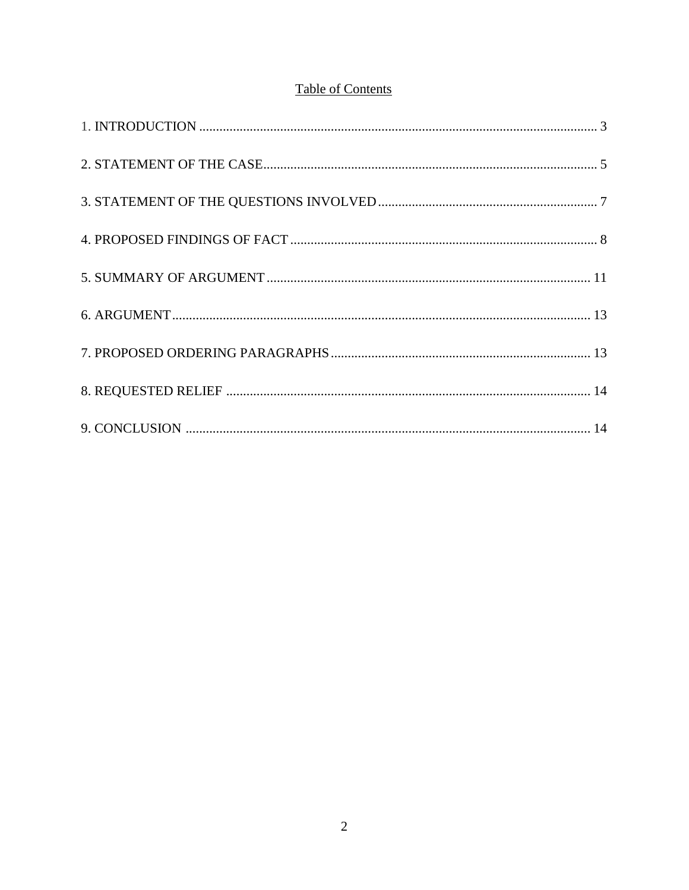# **Table of Contents**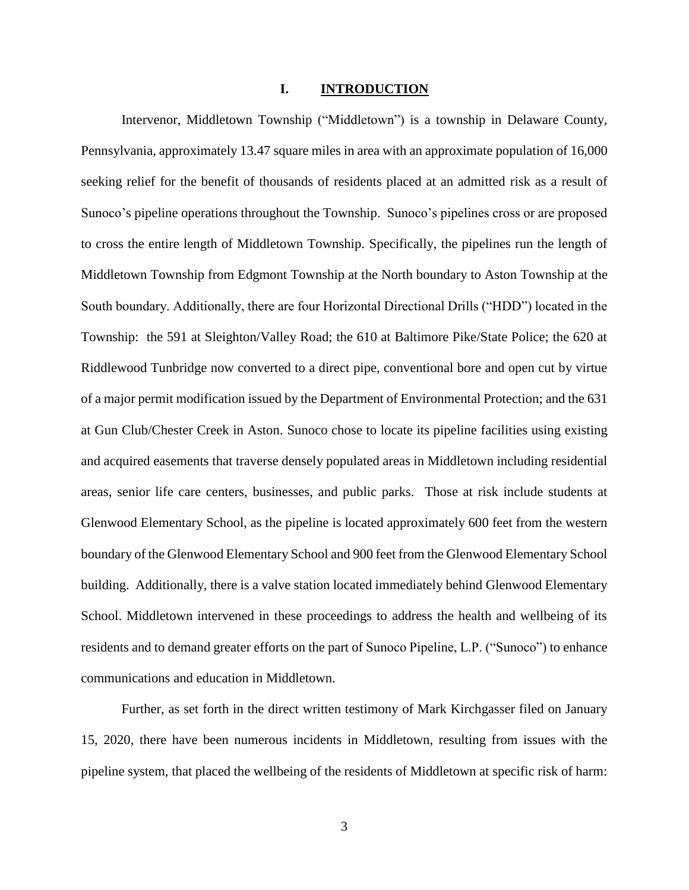#### **I. INTRODUCTION**

Intervenor, Middletown Township ("Middletown") is a township in Delaware County, Pennsylvania, approximately 13.47 square miles in area with an approximate population of 16,000 seeking relief for the benefit of thousands of residents placed at an admitted risk as a result of Sunoco's pipeline operations throughout the Township. Sunoco's pipelines cross or are proposed to cross the entire length of Middletown Township. Specifically, the pipelines run the length of Middletown Township from Edgmont Township at the North boundary to Aston Township at the South boundary. Additionally, there are four Horizontal Directional Drills ("HDD") located in the Township: the 591 at Sleighton/Valley Road; the 610 at Baltimore Pike/State Police; the 620 at Riddlewood Tunbridge now converted to a direct pipe, conventional bore and open cut by virtue of a major permit modification issued by the Department of Environmental Protection; and the 631 at Gun Club/Chester Creek in Aston. Sunoco chose to locate its pipeline facilities using existing and acquired easements that traverse densely populated areas in Middletown including residential areas, senior life care centers, businesses, and public parks. Those at risk include students at Glenwood Elementary School, as the pipeline is located approximately 600 feet from the western boundary of the Glenwood Elementary School and 900 feet from the Glenwood Elementary School building. Additionally, there is a valve station located immediately behind Glenwood Elementary School. Middletown intervened in these proceedings to address the health and wellbeing of its residents and to demand greater efforts on the part of Sunoco Pipeline, L.P. ("Sunoco") to enhance communications and education in Middletown.

Further, as set forth in the direct written testimony of Mark Kirchgasser filed on January 15, 2020, there have been numerous incidents in Middletown, resulting from issues with the pipeline system, that placed the wellbeing of the residents of Middletown at specific risk of harm: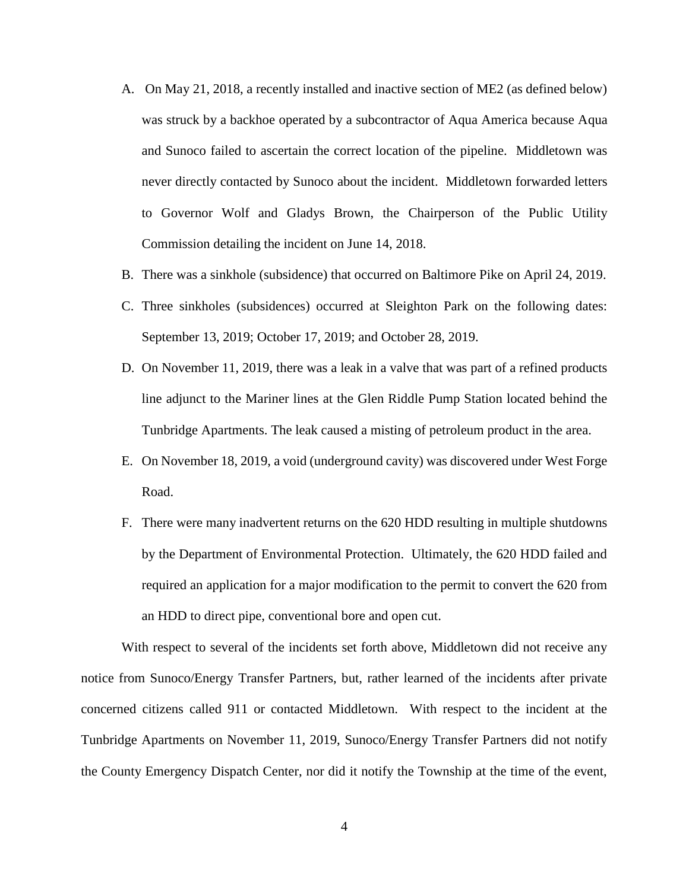- A. On May 21, 2018, a recently installed and inactive section of ME2 (as defined below) was struck by a backhoe operated by a subcontractor of Aqua America because Aqua and Sunoco failed to ascertain the correct location of the pipeline. Middletown was never directly contacted by Sunoco about the incident. Middletown forwarded letters to Governor Wolf and Gladys Brown, the Chairperson of the Public Utility Commission detailing the incident on June 14, 2018.
- B. There was a sinkhole (subsidence) that occurred on Baltimore Pike on April 24, 2019.
- C. Three sinkholes (subsidences) occurred at Sleighton Park on the following dates: September 13, 2019; October 17, 2019; and October 28, 2019.
- D. On November 11, 2019, there was a leak in a valve that was part of a refined products line adjunct to the Mariner lines at the Glen Riddle Pump Station located behind the Tunbridge Apartments. The leak caused a misting of petroleum product in the area.
- E. On November 18, 2019, a void (underground cavity) was discovered under West Forge Road.
- F. There were many inadvertent returns on the 620 HDD resulting in multiple shutdowns by the Department of Environmental Protection. Ultimately, the 620 HDD failed and required an application for a major modification to the permit to convert the 620 from an HDD to direct pipe, conventional bore and open cut.

With respect to several of the incidents set forth above, Middletown did not receive any notice from Sunoco/Energy Transfer Partners, but, rather learned of the incidents after private concerned citizens called 911 or contacted Middletown. With respect to the incident at the Tunbridge Apartments on November 11, 2019, Sunoco/Energy Transfer Partners did not notify the County Emergency Dispatch Center, nor did it notify the Township at the time of the event,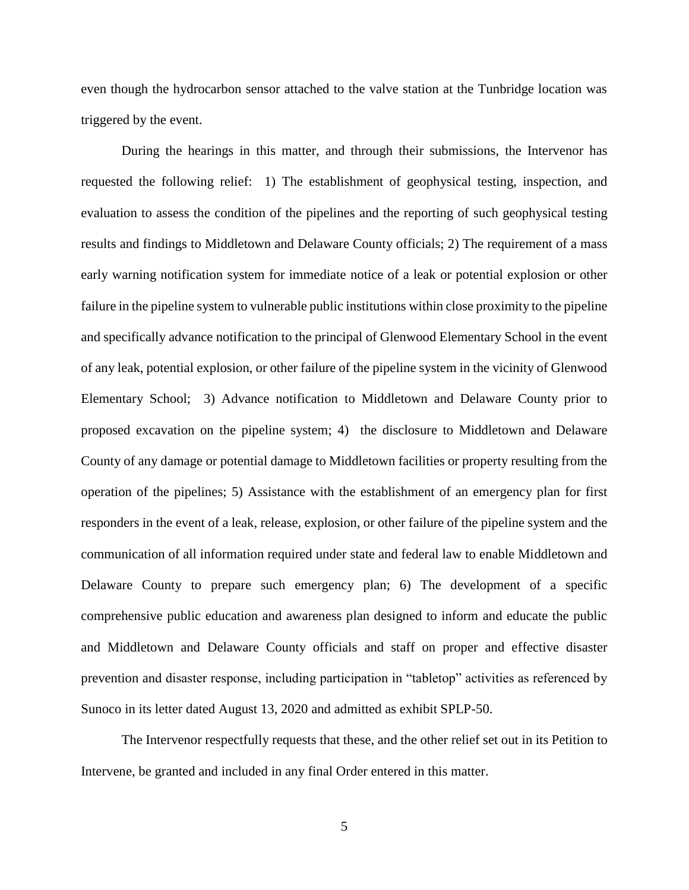even though the hydrocarbon sensor attached to the valve station at the Tunbridge location was triggered by the event.

During the hearings in this matter, and through their submissions, the Intervenor has requested the following relief: 1) The establishment of geophysical testing, inspection, and evaluation to assess the condition of the pipelines and the reporting of such geophysical testing results and findings to Middletown and Delaware County officials; 2) The requirement of a mass early warning notification system for immediate notice of a leak or potential explosion or other failure in the pipeline system to vulnerable public institutions within close proximity to the pipeline and specifically advance notification to the principal of Glenwood Elementary School in the event of any leak, potential explosion, or other failure of the pipeline system in the vicinity of Glenwood Elementary School; 3) Advance notification to Middletown and Delaware County prior to proposed excavation on the pipeline system; 4) the disclosure to Middletown and Delaware County of any damage or potential damage to Middletown facilities or property resulting from the operation of the pipelines; 5) Assistance with the establishment of an emergency plan for first responders in the event of a leak, release, explosion, or other failure of the pipeline system and the communication of all information required under state and federal law to enable Middletown and Delaware County to prepare such emergency plan; 6) The development of a specific comprehensive public education and awareness plan designed to inform and educate the public and Middletown and Delaware County officials and staff on proper and effective disaster prevention and disaster response, including participation in "tabletop" activities as referenced by Sunoco in its letter dated August 13, 2020 and admitted as exhibit SPLP-50.

The Intervenor respectfully requests that these, and the other relief set out in its Petition to Intervene, be granted and included in any final Order entered in this matter.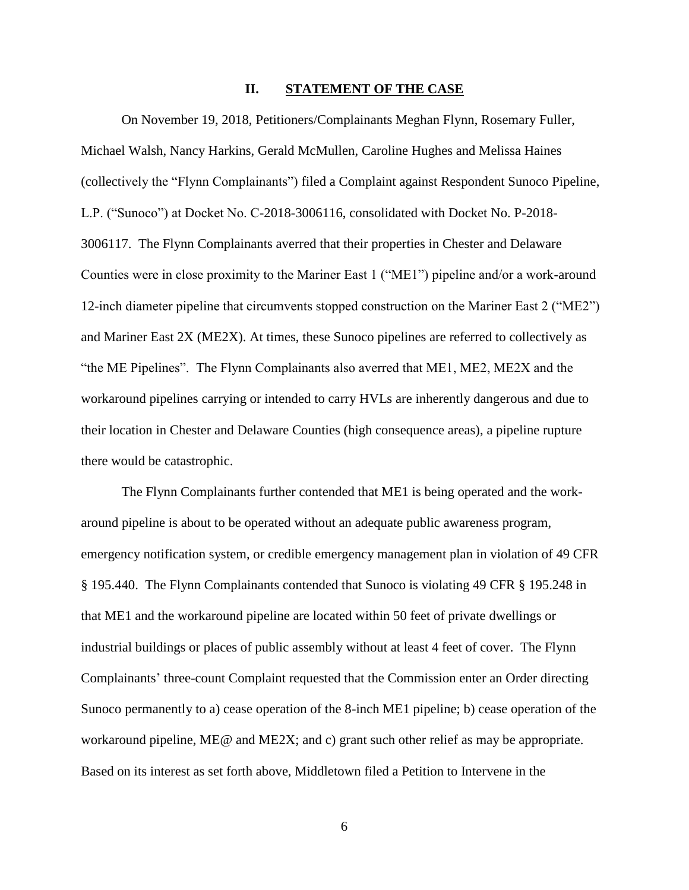#### **II. STATEMENT OF THE CASE**

On November 19, 2018, Petitioners/Complainants Meghan Flynn, Rosemary Fuller, Michael Walsh, Nancy Harkins, Gerald McMullen, Caroline Hughes and Melissa Haines (collectively the "Flynn Complainants") filed a Complaint against Respondent Sunoco Pipeline, L.P. ("Sunoco") at Docket No. C-2018-3006116, consolidated with Docket No. P-2018- 3006117. The Flynn Complainants averred that their properties in Chester and Delaware Counties were in close proximity to the Mariner East 1 ("ME1") pipeline and/or a work-around 12-inch diameter pipeline that circumvents stopped construction on the Mariner East 2 ("ME2") and Mariner East 2X (ME2X). At times, these Sunoco pipelines are referred to collectively as "the ME Pipelines". The Flynn Complainants also averred that ME1, ME2, ME2X and the workaround pipelines carrying or intended to carry HVLs are inherently dangerous and due to their location in Chester and Delaware Counties (high consequence areas), a pipeline rupture there would be catastrophic.

The Flynn Complainants further contended that ME1 is being operated and the workaround pipeline is about to be operated without an adequate public awareness program, emergency notification system, or credible emergency management plan in violation of 49 CFR § 195.440. The Flynn Complainants contended that Sunoco is violating 49 CFR § 195.248 in that ME1 and the workaround pipeline are located within 50 feet of private dwellings or industrial buildings or places of public assembly without at least 4 feet of cover. The Flynn Complainants' three-count Complaint requested that the Commission enter an Order directing Sunoco permanently to a) cease operation of the 8-inch ME1 pipeline; b) cease operation of the workaround pipeline, ME@ and ME2X; and c) grant such other relief as may be appropriate. Based on its interest as set forth above, Middletown filed a Petition to Intervene in the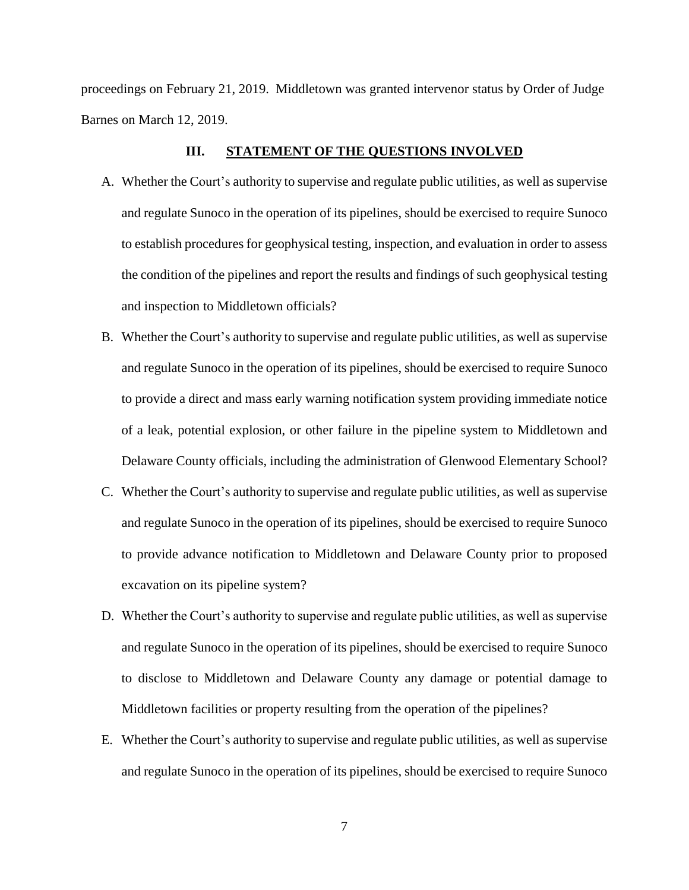proceedings on February 21, 2019. Middletown was granted intervenor status by Order of Judge Barnes on March 12, 2019.

### **III. STATEMENT OF THE QUESTIONS INVOLVED**

- A. Whether the Court's authority to supervise and regulate public utilities, as well as supervise and regulate Sunoco in the operation of its pipelines, should be exercised to require Sunoco to establish procedures for geophysical testing, inspection, and evaluation in order to assess the condition of the pipelines and report the results and findings of such geophysical testing and inspection to Middletown officials?
- B. Whether the Court's authority to supervise and regulate public utilities, as well as supervise and regulate Sunoco in the operation of its pipelines, should be exercised to require Sunoco to provide a direct and mass early warning notification system providing immediate notice of a leak, potential explosion, or other failure in the pipeline system to Middletown and Delaware County officials, including the administration of Glenwood Elementary School?
- C. Whether the Court's authority to supervise and regulate public utilities, as well as supervise and regulate Sunoco in the operation of its pipelines, should be exercised to require Sunoco to provide advance notification to Middletown and Delaware County prior to proposed excavation on its pipeline system?
- D. Whether the Court's authority to supervise and regulate public utilities, as well as supervise and regulate Sunoco in the operation of its pipelines, should be exercised to require Sunoco to disclose to Middletown and Delaware County any damage or potential damage to Middletown facilities or property resulting from the operation of the pipelines?
- E. Whether the Court's authority to supervise and regulate public utilities, as well as supervise and regulate Sunoco in the operation of its pipelines, should be exercised to require Sunoco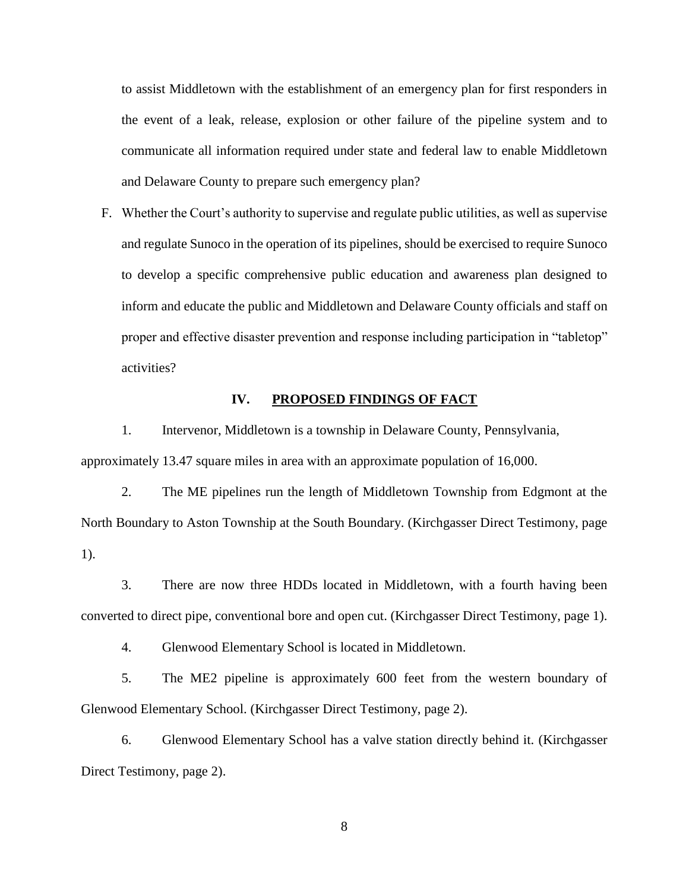to assist Middletown with the establishment of an emergency plan for first responders in the event of a leak, release, explosion or other failure of the pipeline system and to communicate all information required under state and federal law to enable Middletown and Delaware County to prepare such emergency plan?

F. Whether the Court's authority to supervise and regulate public utilities, as well as supervise and regulate Sunoco in the operation of its pipelines, should be exercised to require Sunoco to develop a specific comprehensive public education and awareness plan designed to inform and educate the public and Middletown and Delaware County officials and staff on proper and effective disaster prevention and response including participation in "tabletop" activities?

# **IV. PROPOSED FINDINGS OF FACT**

1. Intervenor, Middletown is a township in Delaware County, Pennsylvania, approximately 13.47 square miles in area with an approximate population of 16,000.

2. The ME pipelines run the length of Middletown Township from Edgmont at the North Boundary to Aston Township at the South Boundary. (Kirchgasser Direct Testimony, page 1).

3. There are now three HDDs located in Middletown, with a fourth having been converted to direct pipe, conventional bore and open cut. (Kirchgasser Direct Testimony, page 1).

4. Glenwood Elementary School is located in Middletown.

5. The ME2 pipeline is approximately 600 feet from the western boundary of Glenwood Elementary School. (Kirchgasser Direct Testimony, page 2).

6. Glenwood Elementary School has a valve station directly behind it. (Kirchgasser Direct Testimony, page 2).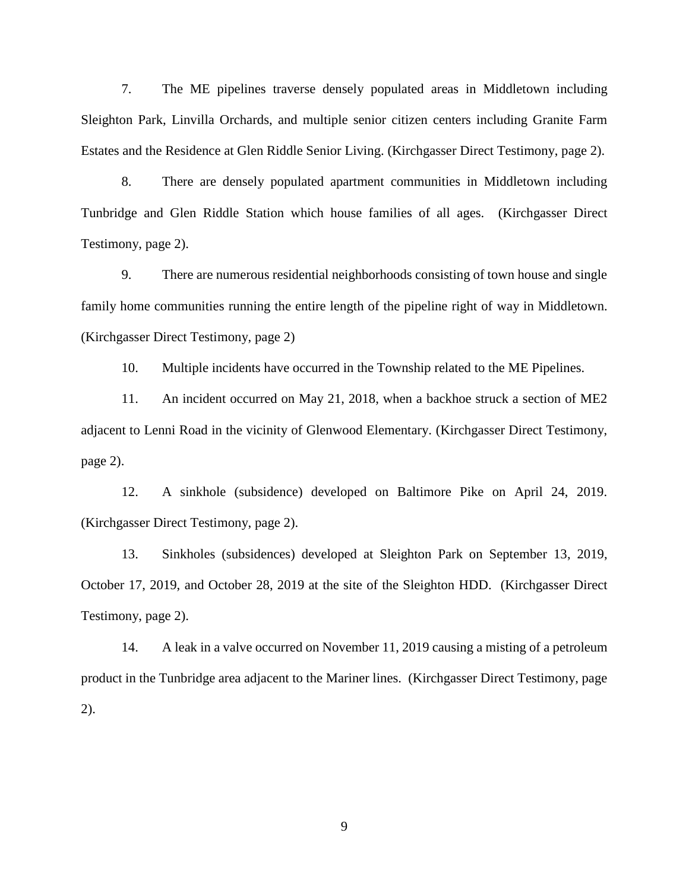7. The ME pipelines traverse densely populated areas in Middletown including Sleighton Park, Linvilla Orchards, and multiple senior citizen centers including Granite Farm Estates and the Residence at Glen Riddle Senior Living. (Kirchgasser Direct Testimony, page 2).

8. There are densely populated apartment communities in Middletown including Tunbridge and Glen Riddle Station which house families of all ages. (Kirchgasser Direct Testimony, page 2).

9. There are numerous residential neighborhoods consisting of town house and single family home communities running the entire length of the pipeline right of way in Middletown. (Kirchgasser Direct Testimony, page 2)

10. Multiple incidents have occurred in the Township related to the ME Pipelines.

11. An incident occurred on May 21, 2018, when a backhoe struck a section of ME2 adjacent to Lenni Road in the vicinity of Glenwood Elementary. (Kirchgasser Direct Testimony, page 2).

12. A sinkhole (subsidence) developed on Baltimore Pike on April 24, 2019. (Kirchgasser Direct Testimony, page 2).

13. Sinkholes (subsidences) developed at Sleighton Park on September 13, 2019, October 17, 2019, and October 28, 2019 at the site of the Sleighton HDD. (Kirchgasser Direct Testimony, page 2).

14. A leak in a valve occurred on November 11, 2019 causing a misting of a petroleum product in the Tunbridge area adjacent to the Mariner lines. (Kirchgasser Direct Testimony, page 2).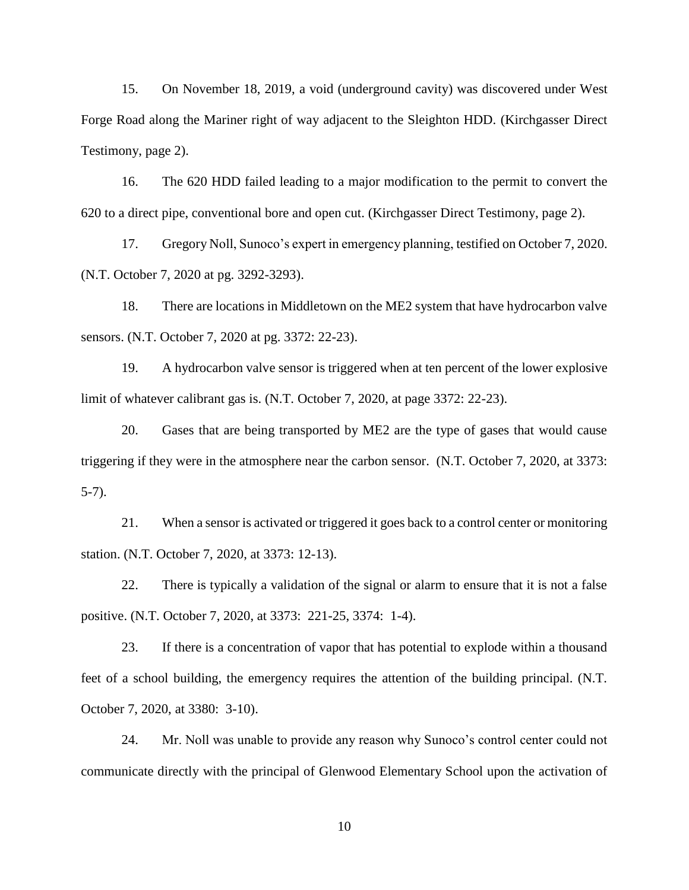15. On November 18, 2019, a void (underground cavity) was discovered under West Forge Road along the Mariner right of way adjacent to the Sleighton HDD. (Kirchgasser Direct Testimony, page 2).

16. The 620 HDD failed leading to a major modification to the permit to convert the 620 to a direct pipe, conventional bore and open cut. (Kirchgasser Direct Testimony, page 2).

17. Gregory Noll, Sunoco's expert in emergency planning, testified on October 7, 2020. (N.T. October 7, 2020 at pg. 3292-3293).

18. There are locations in Middletown on the ME2 system that have hydrocarbon valve sensors. (N.T. October 7, 2020 at pg. 3372: 22-23).

19. A hydrocarbon valve sensor is triggered when at ten percent of the lower explosive limit of whatever calibrant gas is. (N.T. October 7, 2020, at page 3372: 22-23).

20. Gases that are being transported by ME2 are the type of gases that would cause triggering if they were in the atmosphere near the carbon sensor. (N.T. October 7, 2020, at 3373: 5-7).

21. When a sensor is activated or triggered it goes back to a control center or monitoring station. (N.T. October 7, 2020, at 3373: 12-13).

22. There is typically a validation of the signal or alarm to ensure that it is not a false positive. (N.T. October 7, 2020, at 3373: 221-25, 3374: 1-4).

23. If there is a concentration of vapor that has potential to explode within a thousand feet of a school building, the emergency requires the attention of the building principal. (N.T. October 7, 2020, at 3380: 3-10).

24. Mr. Noll was unable to provide any reason why Sunoco's control center could not communicate directly with the principal of Glenwood Elementary School upon the activation of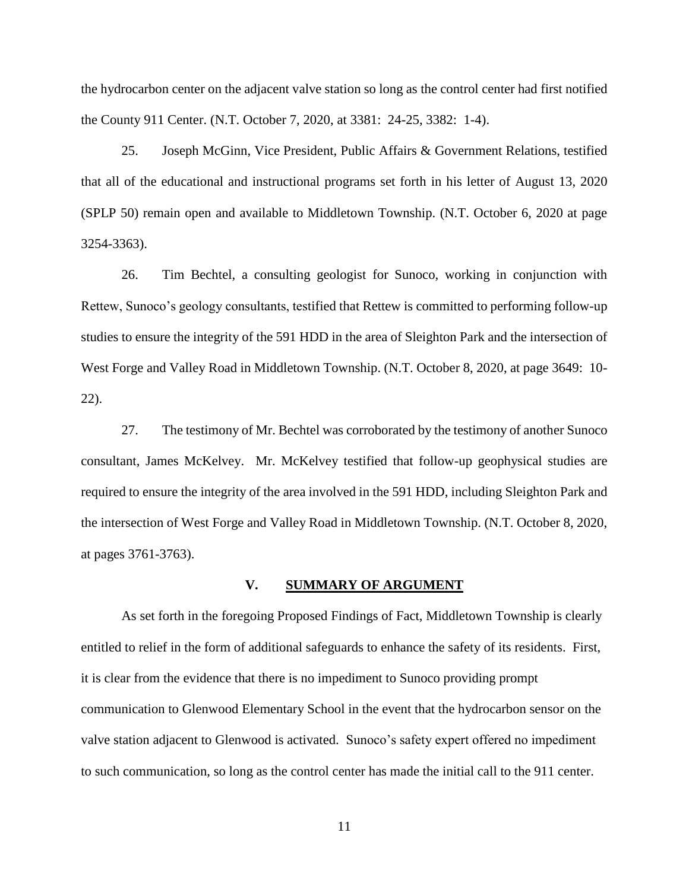the hydrocarbon center on the adjacent valve station so long as the control center had first notified the County 911 Center. (N.T. October 7, 2020, at 3381: 24-25, 3382: 1-4).

25. Joseph McGinn, Vice President, Public Affairs & Government Relations, testified that all of the educational and instructional programs set forth in his letter of August 13, 2020 (SPLP 50) remain open and available to Middletown Township. (N.T. October 6, 2020 at page 3254-3363).

26. Tim Bechtel, a consulting geologist for Sunoco, working in conjunction with Rettew, Sunoco's geology consultants, testified that Rettew is committed to performing follow-up studies to ensure the integrity of the 591 HDD in the area of Sleighton Park and the intersection of West Forge and Valley Road in Middletown Township. (N.T. October 8, 2020, at page 3649: 10- 22).

27. The testimony of Mr. Bechtel was corroborated by the testimony of another Sunoco consultant, James McKelvey. Mr. McKelvey testified that follow-up geophysical studies are required to ensure the integrity of the area involved in the 591 HDD, including Sleighton Park and the intersection of West Forge and Valley Road in Middletown Township. (N.T. October 8, 2020, at pages 3761-3763).

# **V. SUMMARY OF ARGUMENT**

As set forth in the foregoing Proposed Findings of Fact, Middletown Township is clearly entitled to relief in the form of additional safeguards to enhance the safety of its residents. First, it is clear from the evidence that there is no impediment to Sunoco providing prompt communication to Glenwood Elementary School in the event that the hydrocarbon sensor on the valve station adjacent to Glenwood is activated. Sunoco's safety expert offered no impediment to such communication, so long as the control center has made the initial call to the 911 center.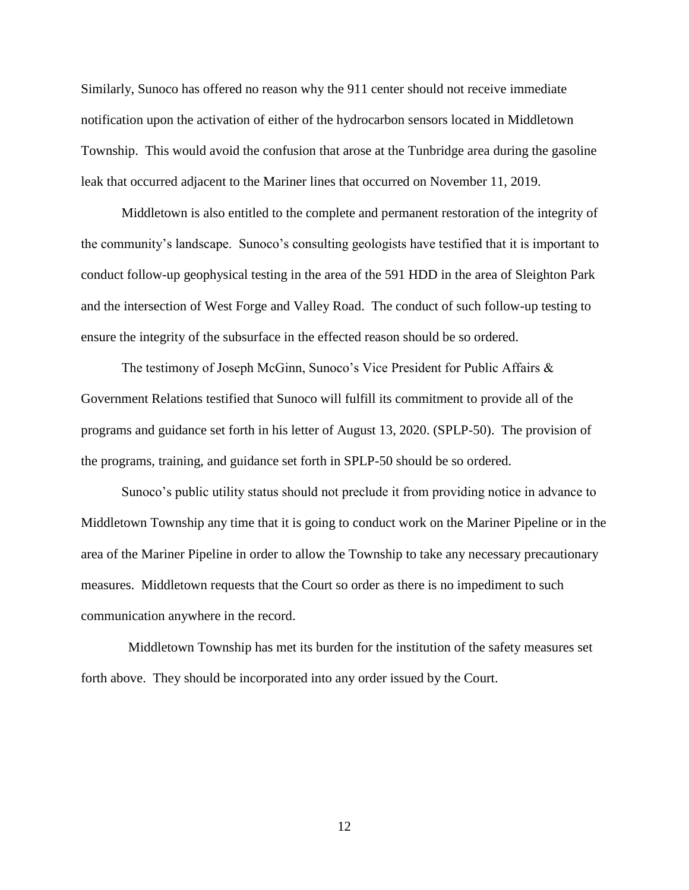Similarly, Sunoco has offered no reason why the 911 center should not receive immediate notification upon the activation of either of the hydrocarbon sensors located in Middletown Township. This would avoid the confusion that arose at the Tunbridge area during the gasoline leak that occurred adjacent to the Mariner lines that occurred on November 11, 2019.

Middletown is also entitled to the complete and permanent restoration of the integrity of the community's landscape. Sunoco's consulting geologists have testified that it is important to conduct follow-up geophysical testing in the area of the 591 HDD in the area of Sleighton Park and the intersection of West Forge and Valley Road. The conduct of such follow-up testing to ensure the integrity of the subsurface in the effected reason should be so ordered.

The testimony of Joseph McGinn, Sunoco's Vice President for Public Affairs & Government Relations testified that Sunoco will fulfill its commitment to provide all of the programs and guidance set forth in his letter of August 13, 2020. (SPLP-50). The provision of the programs, training, and guidance set forth in SPLP-50 should be so ordered.

Sunoco's public utility status should not preclude it from providing notice in advance to Middletown Township any time that it is going to conduct work on the Mariner Pipeline or in the area of the Mariner Pipeline in order to allow the Township to take any necessary precautionary measures. Middletown requests that the Court so order as there is no impediment to such communication anywhere in the record.

 Middletown Township has met its burden for the institution of the safety measures set forth above. They should be incorporated into any order issued by the Court.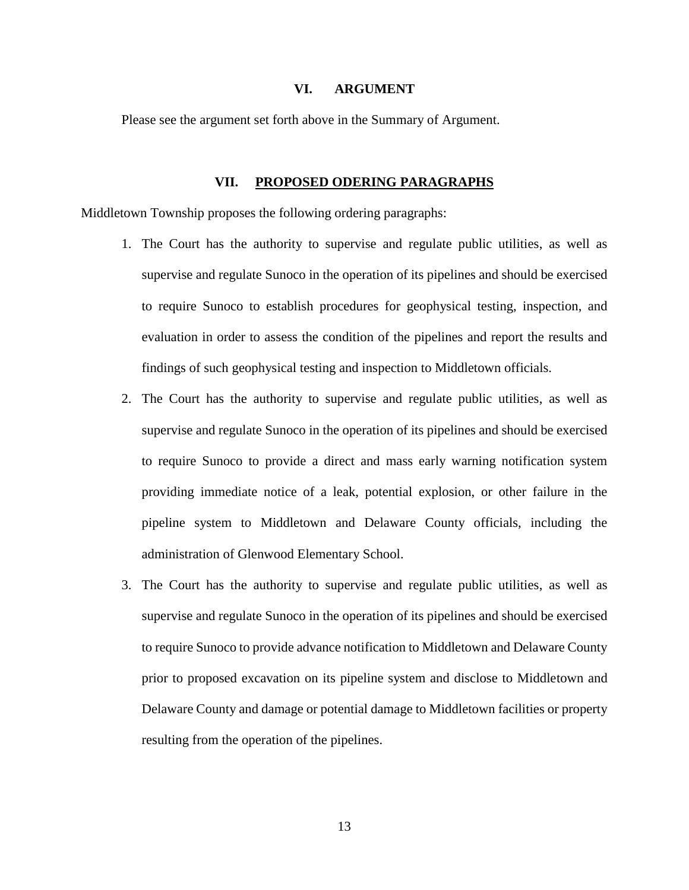# **VI. ARGUMENT**

Please see the argument set forth above in the Summary of Argument.

# **VII. PROPOSED ODERING PARAGRAPHS**

Middletown Township proposes the following ordering paragraphs:

- 1. The Court has the authority to supervise and regulate public utilities, as well as supervise and regulate Sunoco in the operation of its pipelines and should be exercised to require Sunoco to establish procedures for geophysical testing, inspection, and evaluation in order to assess the condition of the pipelines and report the results and findings of such geophysical testing and inspection to Middletown officials.
- 2. The Court has the authority to supervise and regulate public utilities, as well as supervise and regulate Sunoco in the operation of its pipelines and should be exercised to require Sunoco to provide a direct and mass early warning notification system providing immediate notice of a leak, potential explosion, or other failure in the pipeline system to Middletown and Delaware County officials, including the administration of Glenwood Elementary School.
- 3. The Court has the authority to supervise and regulate public utilities, as well as supervise and regulate Sunoco in the operation of its pipelines and should be exercised to require Sunoco to provide advance notification to Middletown and Delaware County prior to proposed excavation on its pipeline system and disclose to Middletown and Delaware County and damage or potential damage to Middletown facilities or property resulting from the operation of the pipelines.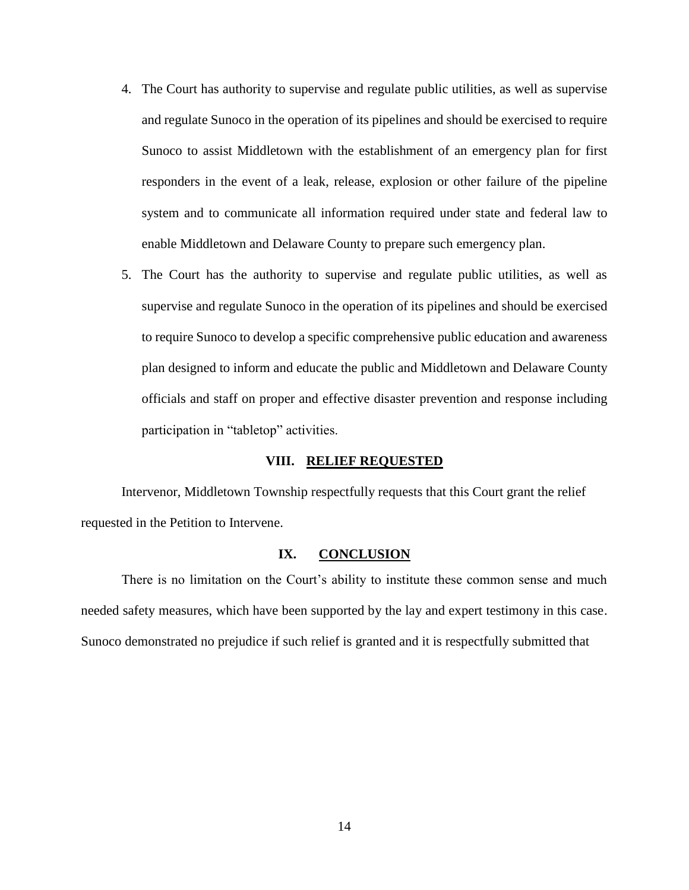- 4. The Court has authority to supervise and regulate public utilities, as well as supervise and regulate Sunoco in the operation of its pipelines and should be exercised to require Sunoco to assist Middletown with the establishment of an emergency plan for first responders in the event of a leak, release, explosion or other failure of the pipeline system and to communicate all information required under state and federal law to enable Middletown and Delaware County to prepare such emergency plan.
- 5. The Court has the authority to supervise and regulate public utilities, as well as supervise and regulate Sunoco in the operation of its pipelines and should be exercised to require Sunoco to develop a specific comprehensive public education and awareness plan designed to inform and educate the public and Middletown and Delaware County officials and staff on proper and effective disaster prevention and response including participation in "tabletop" activities.

## **VIII. RELIEF REQUESTED**

Intervenor, Middletown Township respectfully requests that this Court grant the relief requested in the Petition to Intervene.

#### **IX. CONCLUSION**

There is no limitation on the Court's ability to institute these common sense and much needed safety measures, which have been supported by the lay and expert testimony in this case. Sunoco demonstrated no prejudice if such relief is granted and it is respectfully submitted that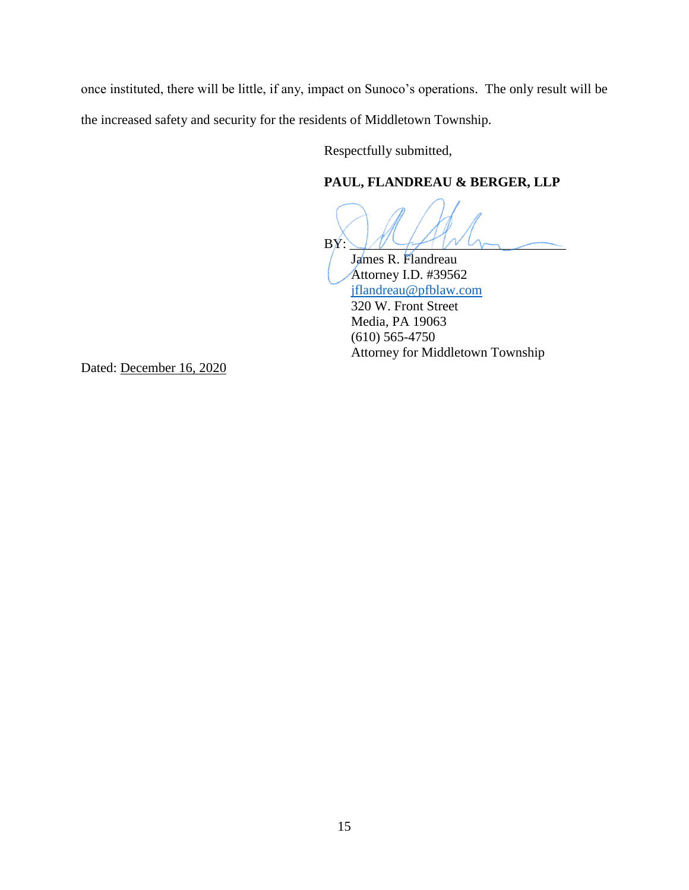once instituted, there will be little, if any, impact on Sunoco's operations. The only result will be the increased safety and security for the residents of Middletown Township.

Respectfully submitted,

# **PAUL, FLANDREAU & BERGER, LLP**

 $\text{BN:}\_V\downarrow\_\text{F}$ 

 James R. Flandreau Attorney I.D. #39562 [jflandreau@pfblaw.com](mailto:jflandreau@pfblaw.com) 320 W. Front Street Media, PA 19063 (610) 565-4750 Attorney for Middletown Township

Dated: December 16, 2020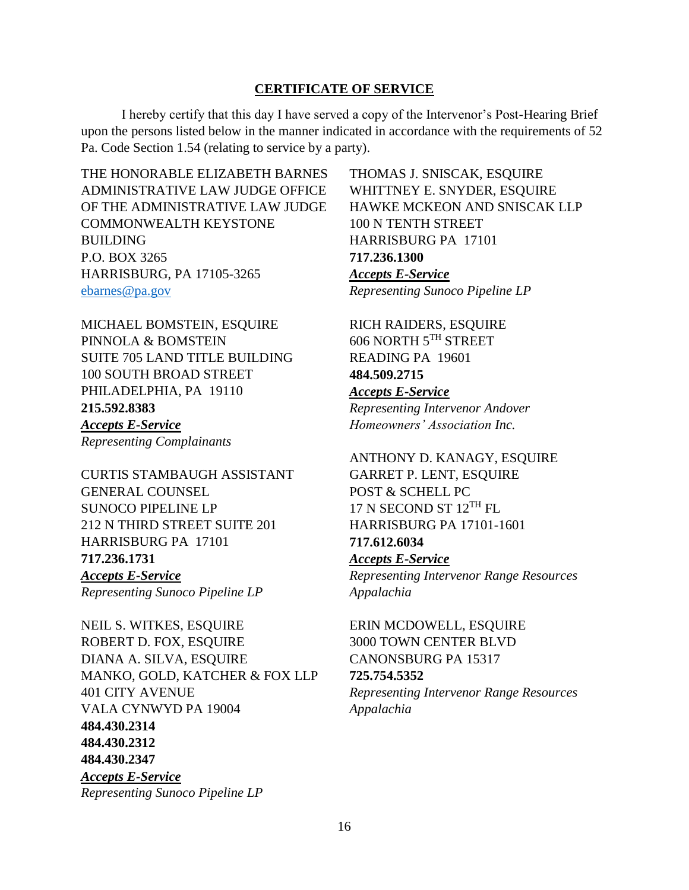# **CERTIFICATE OF SERVICE**

I hereby certify that this day I have served a copy of the Intervenor's Post-Hearing Brief upon the persons listed below in the manner indicated in accordance with the requirements of 52 Pa. Code Section 1.54 (relating to service by a party).

THE HONORABLE ELIZABETH BARNES ADMINISTRATIVE LAW JUDGE OFFICE OF THE ADMINISTRATIVE LAW JUDGE COMMONWEALTH KEYSTONE BUILDING P.O. BOX 3265 HARRISBURG, PA 17105-3265 [ebarnes@pa.gov](mailto:ebarnes@pa.gov)

MICHAEL BOMSTEIN, ESQUIRE PINNOLA & BOMSTEIN SUITE 705 LAND TITLE BUILDING 100 SOUTH BROAD STREET PHILADELPHIA, PA 19110 **215.592.8383** *Accepts E-Service Representing Complainants*

CURTIS STAMBAUGH ASSISTANT GENERAL COUNSEL SUNOCO PIPELINE LP 212 N THIRD STREET SUITE 201 HARRISBURG PA 17101 **717.236.1731** *Accepts E-Service Representing Sunoco Pipeline LP* 

NEIL S. WITKES, ESQUIRE ROBERT D. FOX, ESQUIRE DIANA A. SILVA, ESQUIRE MANKO, GOLD, KATCHER & FOX LLP 401 CITY AVENUE VALA CYNWYD PA 19004 **484.430.2314 484.430.2312 484.430.2347** *Accepts E-Service Representing Sunoco Pipeline LP* 

THOMAS J. SNISCAK, ESQUIRE WHITTNEY E. SNYDER, ESQUIRE HAWKE MCKEON AND SNISCAK LLP 100 N TENTH STREET HARRISBURG PA 17101 **717.236.1300** *Accepts E-Service Representing Sunoco Pipeline LP* 

RICH RAIDERS, ESQUIRE 606 NORTH 5TH STREET READING PA 19601 **484.509.2715** *Accepts E-Service Representing Intervenor Andover Homeowners' Association Inc.*

ANTHONY D. KANAGY, ESQUIRE GARRET P. LENT, ESQUIRE POST & SCHELL PC 17 N SECOND ST 12TH FL HARRISBURG PA 17101-1601 **717.612.6034** *Accepts E-Service Representing Intervenor Range Resources Appalachia*

ERIN MCDOWELL, ESQUIRE 3000 TOWN CENTER BLVD CANONSBURG PA 15317 **725.754.5352** *Representing Intervenor Range Resources Appalachia*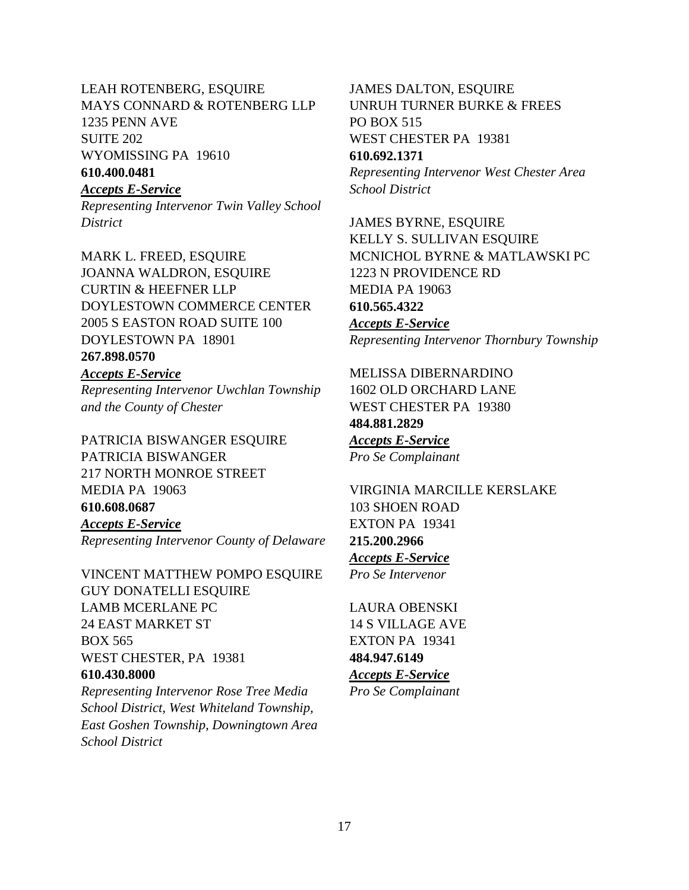LEAH ROTENBERG, ESQUIRE MAYS CONNARD & ROTENBERG LLP 1235 PENN AVE SUITE 202 WYOMISSING PA 19610 **610.400.0481**

*Accepts E-Service Representing Intervenor Twin Valley School District* 

MARK L. FREED, ESQUIRE JOANNA WALDRON, ESQUIRE CURTIN & HEEFNER LLP DOYLESTOWN COMMERCE CENTER 2005 S EASTON ROAD SUITE 100 DOYLESTOWN PA 18901

# **267.898.0570**

*Accepts E-Service Representing Intervenor Uwchlan Township and the County of Chester*

PATRICIA BISWANGER ESQUIRE PATRICIA BISWANGER 217 NORTH MONROE STREET MEDIA PA 19063 **610.608.0687** *Accepts E-Service Representing Intervenor County of Delaware* 

VINCENT MATTHEW POMPO ESQUIRE **GUY DONATELLI ESQUIRE** LAMB MCERLANE PC 24 EAST MARKET ST BOX 565 WEST CHESTER, PA 19381 **610.430.8000** *Representing Intervenor Rose Tree Media* 

*School District, West Whiteland Township, East Goshen Township, Downingtown Area School District* 

JAMES DALTON, ESQUIRE UNRUH TURNER BURKE & FREES PO BOX 515 WEST CHESTER PA 19381 **610.692.1371**

*Representing Intervenor West Chester Area School District*

JAMES BYRNE, ESQUIRE KELLY S. SULLIVAN ESQUIRE MCNICHOL BYRNE & MATLAWSKI PC 1223 N PROVIDENCE RD MEDIA PA 19063 **610.565.4322** *Accepts E-Service Representing Intervenor Thornbury Township* 

MELISSA DIBERNARDINO 1602 OLD ORCHARD LANE WEST CHESTER PA 19380 **484.881.2829** *Accepts E-Service Pro Se Complainant* 

VIRGINIA MARCILLE KERSLAKE 103 SHOEN ROAD EXTON PA 19341 **215.200.2966** *Accepts E-Service Pro Se Intervenor*

LAURA OBENSKI 14 S VILLAGE AVE EXTON PA 19341 **484.947.6149** *Accepts E-Service Pro Se Complainant*